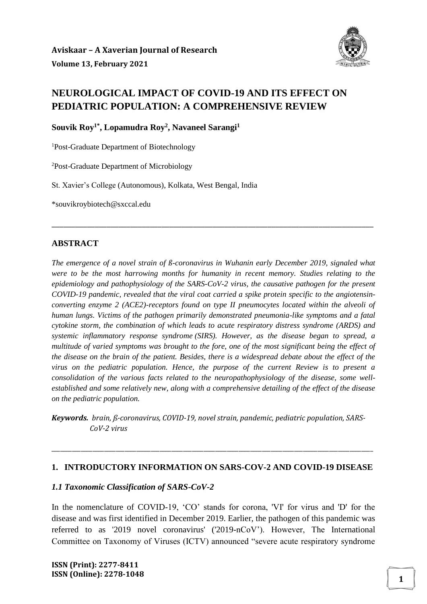

# **NEUROLOGICAL IMPACT OF COVID-19 AND ITS EFFECT ON PEDIATRIC POPULATION: A COMPREHENSIVE REVIEW**

**Souvik Roy1\*, Lopamudra Roy<sup>2</sup> , Navaneel Sarangi<sup>1</sup>**

<sup>1</sup>Post-Graduate Department of Biotechnology

<sup>2</sup>Post-Graduate Department of Microbiology

St. Xavier's College (Autonomous), Kolkata, West Bengal, India

\*souvikroybiotech@sxccal.edu

#### **ABSTRACT**

*The emergence of a novel strain of ß-coronavirus in Wuhanin early December 2019, signaled what were to be the most harrowing months for humanity in recent memory. Studies relating to the epidemiology and pathophysiology of the SARS-CoV-2 virus, the causative pathogen for the present COVID-19 pandemic, revealed that the viral coat carried a spike protein specific to the angiotensinconverting enzyme 2 (ACE2)-receptors found on type II pneumocytes located within the alveoli of human lungs. Victims of the pathogen primarily demonstrated pneumonia-like symptoms and a fatal cytokine storm, the combination of which leads to acute respiratory distress syndrome (ARDS) and systemic inflammatory response syndrome (SIRS). However, as the disease began to spread, a multitude of varied symptoms was brought to the fore, one of the most significant being the effect of the disease on the brain of the patient. Besides, there is a widespread debate about the effect of the virus on the pediatric population. Hence, the purpose of the current Review is to present a consolidation of the various facts related to the neuropathophysiology of the disease, some wellestablished and some relatively new, along with a comprehensive detailing of the effect of the disease on the pediatric population.* 

\_\_\_\_\_\_\_\_\_\_\_\_\_\_\_\_\_\_\_\_\_\_\_\_\_\_\_\_\_\_\_\_\_\_\_\_\_\_\_\_\_\_\_\_\_\_\_\_\_\_\_\_\_\_\_\_\_\_\_\_\_\_\_\_\_\_\_\_\_\_\_\_\_\_\_\_\_\_\_\_\_\_

*Keywords. brain, ß-coronavirus, COVID-19, novel strain, pandemic, pediatric population, SARS- CoV-2 virus*

#### **1. INTRODUCTORY INFORMATION ON SARS-COV-2 AND COVID-19 DISEASE**

\_\_\_\_\_\_\_\_\_\_\_\_\_\_\_\_\_\_\_\_\_\_\_\_\_\_\_\_\_\_\_\_\_\_\_\_\_\_\_\_\_\_\_\_\_\_\_\_\_\_\_\_\_\_\_\_\_\_\_\_\_\_\_\_\_\_\_\_\_\_\_\_\_\_\_\_\_\_\_\_\_\_\_\_\_\_\_\_\_\_\_\_\_\_\_\_\_\_\_\_\_\_\_\_\_\_\_\_\_\_

#### *1.1 Taxonomic Classification of SARS-CoV-2*

In the nomenclature of COVID-19, 'CO' stands for corona, 'VI' for virus and 'D' for the disease and was first identified in December 2019. Earlier, the pathogen of this pandemic was referred to as '2019 novel coronavirus' ('2019-nCoV'). However, The International Committee on Taxonomy of Viruses (ICTV) announced "severe acute respiratory syndrome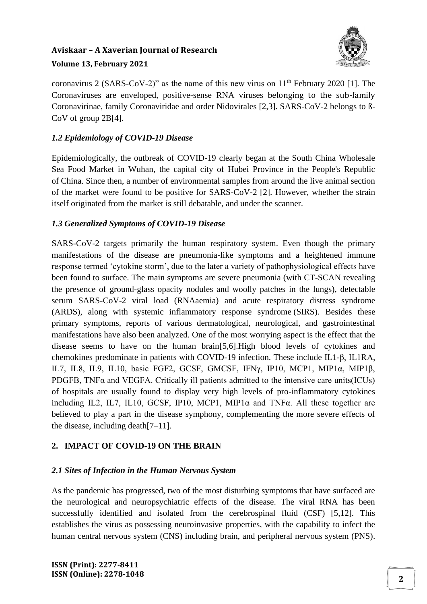

coronavirus 2 (SARS-CoV-2)" as the name of this new virus on  $11<sup>th</sup>$  February 2020 [1]. The Coronaviruses are enveloped, positive-sense RNA viruses belonging to the sub-family Coronavirinae, family Coronaviridae and order Nidovirales [2,3]. SARS-CoV-2 belongs to ß-CoV of group 2B[4].

# *1.2 Epidemiology of COVID-19 Disease*

Epidemiologically, the outbreak of COVID-19 clearly began at the South China Wholesale Sea Food Market in Wuhan, the capital city of Hubei Province in the People's Republic of China. Since then, a number of environmental samples from around the live animal section of the market were found to be positive for SARS-CoV-2 [2]. However, whether the strain itself originated from the market is still debatable, and under the scanner.

# *1.3 Generalized Symptoms of COVID-19 Disease*

SARS-CoV-2 targets primarily the human respiratory system. Even though the primary manifestations of the disease are pneumonia-like symptoms and a heightened immune response termed 'cytokine storm', due to the later a variety of pathophysiological effects have been found to surface. The main symptoms are severe pneumonia (with CT-SCAN revealing the presence of ground-glass opacity nodules and woolly patches in the lungs), detectable serum SARS-CoV-2 viral load (RNAaemia) and acute respiratory distress syndrome (ARDS), along with systemic inflammatory response syndrome (SIRS). Besides these primary symptoms, reports of various dermatological, neurological, and gastrointestinal manifestations have also been analyzed. One of the most worrying aspect is the effect that the disease seems to have on the human brain[5,6].High blood levels of cytokines and chemokines predominate in patients with COVID-19 infection. These include IL1-β, IL1RA, IL7, IL8, IL9, IL10, basic FGF2, GCSF, GMCSF, IFNγ, IP10, MCP1, MIP1α, MIP1β, PDGFB, TNF $\alpha$  and VEGFA. Critically ill patients admitted to the intensive care units(ICUs) of hospitals are usually found to display very high levels of pro-inflammatory cytokines including IL2, IL7, IL10, GCSF, IP10, MCP1, MIP1α and TNFα. All these together are believed to play a part in the disease symphony, complementing the more severe effects of the disease, including death[7–11].

# **2. IMPACT OF COVID-19 ON THE BRAIN**

## *2.1 Sites of Infection in the Human Nervous System*

As the pandemic has progressed, two of the most disturbing symptoms that have surfaced are the neurological and neuropsychiatric effects of the disease. The viral RNA has been successfully identified and isolated from the cerebrospinal fluid (CSF) [5,12]. This establishes the virus as possessing neuroinvasive properties, with the capability to infect the human central nervous system (CNS) including brain, and peripheral nervous system (PNS).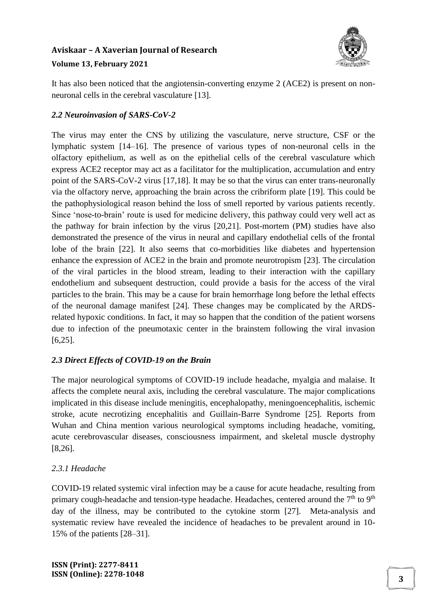

# **Volume 13, February 2021**

It has also been noticed that the angiotensin-converting enzyme 2 (ACE2) is present on nonneuronal cells in the cerebral vasculature [13].

# *2.2 Neuroinvasion of SARS-CoV-2*

The virus may enter the CNS by utilizing the vasculature, nerve structure, CSF or the lymphatic system [14–16]. The presence of various types of non-neuronal cells in the olfactory epithelium, as well as on the epithelial cells of the cerebral vasculature which express ACE2 receptor may act as a facilitator for the multiplication, accumulation and entry point of the SARS-CoV-2 virus [17,18]. It may be so that the virus can enter trans-neuronally via the olfactory nerve, approaching the brain across the cribriform plate [19]. This could be the pathophysiological reason behind the loss of smell reported by various patients recently. Since 'nose-to-brain' route is used for medicine delivery, this pathway could very well act as the pathway for brain infection by the virus [20,21]. Post-mortem (PM) studies have also demonstrated the presence of the virus in neural and capillary endothelial cells of the frontal lobe of the brain [22]. It also seems that co-morbidities like diabetes and hypertension enhance the expression of ACE2 in the brain and promote neurotropism [23]. The circulation of the viral particles in the blood stream, leading to their interaction with the capillary endothelium and subsequent destruction, could provide a basis for the access of the viral particles to the brain. This may be a cause for brain hemorrhage long before the lethal effects of the neuronal damage manifest [24]. These changes may be complicated by the ARDSrelated hypoxic conditions. In fact, it may so happen that the condition of the patient worsens due to infection of the pneumotaxic center in the brainstem following the viral invasion [6,25].

# *2.3 Direct Effects of COVID-19 on the Brain*

The major neurological symptoms of COVID-19 include headache, myalgia and malaise. It affects the complete neural axis, including the cerebral vasculature. The major complications implicated in this disease include meningitis, encephalopathy, meningoencephalitis, ischemic stroke, acute necrotizing encephalitis and Guillain-Barre Syndrome [25]. Reports from Wuhan and China mention various neurological symptoms including headache, vomiting, acute cerebrovascular diseases, consciousness impairment, and skeletal muscle dystrophy [8,26].

# *2.3.1 Headache*

COVID-19 related systemic viral infection may be a cause for acute headache, resulting from primary cough-headache and tension-type headache. Headaches, centered around the  $7<sup>th</sup>$  to  $9<sup>th</sup>$ day of the illness, may be contributed to the cytokine storm [27]. Meta-analysis and systematic review have revealed the incidence of headaches to be prevalent around in 10- 15% of the patients [28–31].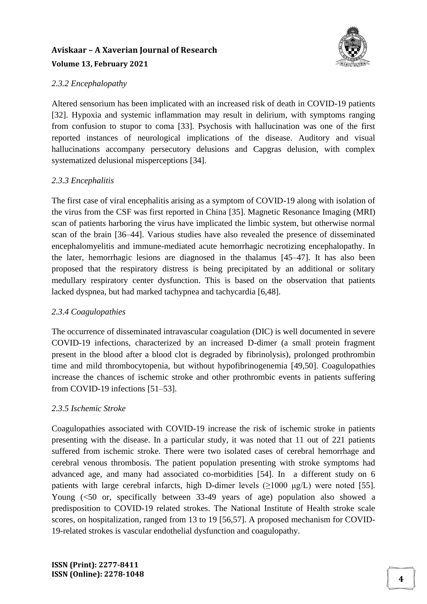

## *2.3.2 Encephalopathy*

Altered sensorium has been implicated with an increased risk of death in COVID-19 patients [32]. Hypoxia and systemic inflammation may result in delirium, with symptoms ranging from confusion to stupor to coma [33]. Psychosis with hallucination was one of the first reported instances of neurological implications of the disease. Auditory and visual hallucinations accompany persecutory delusions and Capgras delusion, with complex systematized delusional misperceptions [34].

# *2.3.3 Encephalitis*

The first case of viral encephalitis arising as a symptom of COVID-19 along with isolation of the virus from the CSF was first reported in China [35]. Magnetic Resonance Imaging (MRI) scan of patients harboring the virus have implicated the limbic system, but otherwise normal scan of the brain [36–44]. Various studies have also revealed the presence of disseminated encephalomyelitis and immune-mediated acute hemorrhagic necrotizing encephalopathy. In the later, hemorrhagic lesions are diagnosed in the thalamus [45–47]. It has also been proposed that the respiratory distress is being precipitated by an additional or solitary medullary respiratory center dysfunction. This is based on the observation that patients lacked dyspnea, but had marked tachypnea and tachycardia [6,48].

# *2.3.4 Coagulopathies*

The occurrence of disseminated intravascular coagulation (DIC) is well documented in severe COVID-19 infections, characterized by an increased D-dimer (a small protein fragment present in the blood after a blood clot is degraded by fibrinolysis), prolonged prothrombin time and mild thrombocytopenia, but without hypofibrinogenemia [49,50]. Coagulopathies increase the chances of ischemic stroke and other prothrombic events in patients suffering from COVID-19 infections [51–53].

## *2.3.5 Ischemic Stroke*

Coagulopathies associated with COVID-19 increase the risk of ischemic stroke in patients presenting with the disease. In a particular study, it was noted that 11 out of 221 patients suffered from ischemic stroke. There were two isolated cases of cerebral hemorrhage and cerebral venous thrombosis. The patient population presenting with stroke symptoms had advanced age, and many had associated co-morbidities [54]. In a different study on 6 patients with large cerebral infarcts, high D-dimer levels  $(>1000 \mu g/L)$  were noted [55]. Young (<50 or, specifically between 33-49 years of age) population also showed a predisposition to COVID-19 related strokes. The National Institute of Health stroke scale scores, on hospitalization, ranged from 13 to 19 [56,57]. A proposed mechanism for COVID-19-related strokes is vascular endothelial dysfunction and coagulopathy.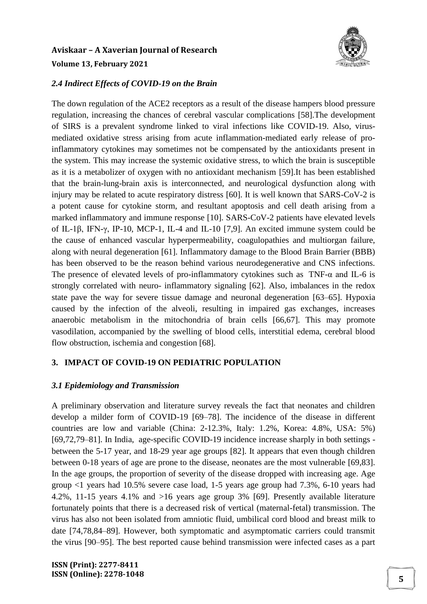

#### *2.4 Indirect Effects of COVID-19 on the Brain*

The down regulation of the ACE2 receptors as a result of the disease hampers blood pressure regulation, increasing the chances of cerebral vascular complications [58].The development of SIRS is a prevalent syndrome linked to viral infections like COVID-19. Also, virusmediated oxidative stress arising from acute inflammation-mediated early release of proinflammatory cytokines may sometimes not be compensated by the antioxidants present in the system. This may increase the systemic oxidative stress, to which the brain is susceptible as it is a metabolizer of oxygen with no antioxidant mechanism [59].It has been established that the brain-lung-brain axis is interconnected, and neurological dysfunction along with injury may be related to acute respiratory distress [60]. It is well known that SARS-CoV-2 is a potent cause for cytokine storm, and resultant apoptosis and cell death arising from a marked inflammatory and immune response [10]. SARS-CoV-2 patients have elevated levels of IL-1β, IFN-γ, IP-10, MCP-1, IL-4 and IL-10 [7,9]. An excited immune system could be the cause of enhanced vascular hyperpermeability, coagulopathies and multiorgan failure, along with neural degeneration [61]. Inflammatory damage to the Blood Brain Barrier (BBB) has been observed to be the reason behind various neurodegenerative and CNS infections. The presence of elevated levels of pro-inflammatory cytokines such as TNF-α and IL-6 is strongly correlated with neuro- inflammatory signaling [62]. Also, imbalances in the redox state pave the way for severe tissue damage and neuronal degeneration [63–65]. Hypoxia caused by the infection of the alveoli, resulting in impaired gas exchanges, increases anaerobic metabolism in the mitochondria of brain cells [66,67]. This may promote vasodilation, accompanied by the swelling of blood cells, interstitial edema, cerebral blood flow obstruction, ischemia and congestion [68].

## **3. IMPACT OF COVID-19 ON PEDIATRIC POPULATION**

#### *3.1 Epidemiology and Transmission*

A preliminary observation and literature survey reveals the fact that neonates and children develop a milder form of COVID-19 [69–78]. The incidence of the disease in different countries are low and variable (China: 2-12.3%, Italy: 1.2%, Korea: 4.8%, USA: 5%) [69,72,79–81]. In India, age-specific COVID-19 incidence increase sharply in both settings between the 5-17 year, and 18-29 year age groups [82]. It appears that even though children between 0-18 years of age are prone to the disease, neonates are the most vulnerable [69,83]. In the age groups, the proportion of severity of the disease dropped with increasing age. Age group <1 years had 10.5% severe case load, 1-5 years age group had 7.3%, 6-10 years had 4.2%, 11-15 years 4.1% and >16 years age group 3% [69]. Presently available literature fortunately points that there is a decreased risk of vertical (maternal-fetal) transmission. The virus has also not been isolated from amniotic fluid, umbilical cord blood and breast milk to date [74,78,84–89]. However, both symptomatic and asymptomatic carriers could transmit the virus [90–95]. The best reported cause behind transmission were infected cases as a part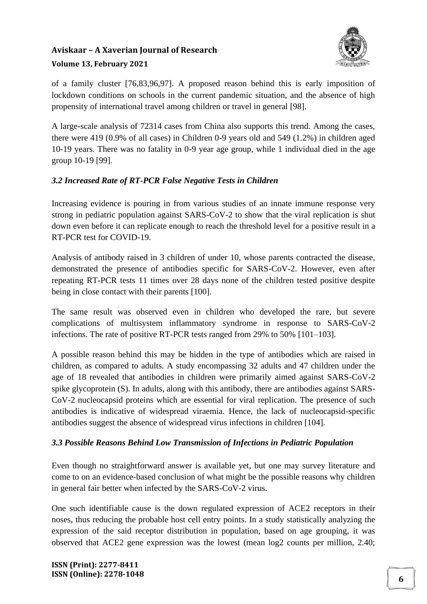

of a family cluster [76,83,96,97]. A proposed reason behind this is early imposition of lockdown conditions on schools in the current pandemic situation, and the absence of high propensity of international travel among children or travel in general [98].

A large-scale analysis of 72314 cases from China also supports this trend. Among the cases, there were 419 (0.9% of all cases) in Children 0-9 years old and 549 (1.2%) in children aged 10-19 years. There was no fatality in 0-9 year age group, while 1 individual died in the age group 10-19 [99].

# *3.2 Increased Rate of RT-PCR False Negative Tests in Children*

Increasing evidence is pouring in from various studies of an innate immune response very strong in pediatric population against SARS-CoV-2 to show that the viral replication is shut down even before it can replicate enough to reach the threshold level for a positive result in a RT-PCR test for COVID-19.

Analysis of antibody raised in 3 children of under 10, whose parents contracted the disease, demonstrated the presence of antibodies specific for SARS-CoV-2. However, even after repeating RT-PCR tests 11 times over 28 days none of the children tested positive despite being in close contact with their parents [100].

The same result was observed even in children who developed the rare, but severe complications of multisystem inflammatory syndrome in response to SARS-CoV-2 infections. The rate of positive RT-PCR tests ranged from 29% to 50% [101–103].

A possible reason behind this may be hidden in the type of antibodies which are raised in children, as compared to adults. A study encompassing 32 adults and 47 children under the age of 18 revealed that antibodies in children were primarily aimed against SARS-CoV-2 spike glycoprotein (S). In adults, along with this antibody, there are antibodies against SARS-CoV-2 nucleocapsid proteins which are essential for viral replication. The presence of such antibodies is indicative of widespread viraemia. Hence, the lack of nucleocapsid-specific antibodies suggest the absence of widespread virus infections in children [104].

# *3.3 Possible Reasons Behind Low Transmission of Infections in Pediatric Population*

Even though no straightforward answer is available yet, but one may survey literature and come to on an evidence-based conclusion of what might be the possible reasons why children in general fair better when infected by the SARS-CoV-2 virus.

One such identifiable cause is the down regulated expression of ACE2 receptors in their noses, thus reducing the probable host cell entry points. In a study statistically analyzing the expression of the said receptor distribution in population, based on age grouping, it was observed that ACE2 gene expression was the lowest (mean log2 counts per million, 2.40;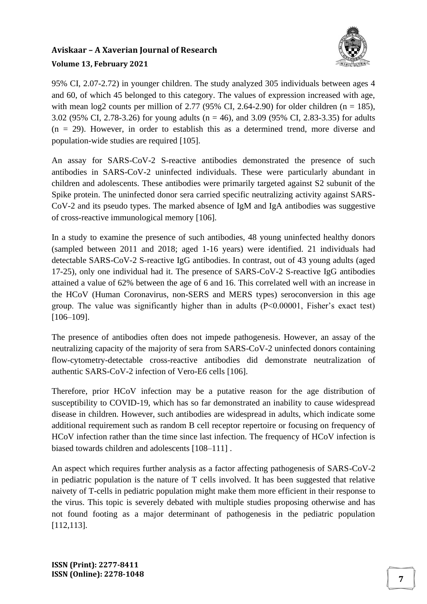

95% CI, 2.07-2.72) in younger children. The study analyzed 305 individuals between ages 4 and 60, of which 45 belonged to this category. The values of expression increased with age, with mean log2 counts per million of 2.77 (95% CI, 2.64-2.90) for older children (n = 185), 3.02 (95% CI, 2.78-3.26) for young adults (n = 46), and 3.09 (95% CI, 2.83-3.35) for adults  $(n = 29)$ . However, in order to establish this as a determined trend, more diverse and population-wide studies are required [105].

An assay for SARS-CoV-2 S-reactive antibodies demonstrated the presence of such antibodies in SARS-CoV-2 uninfected individuals. These were particularly abundant in children and adolescents. These antibodies were primarily targeted against S2 subunit of the Spike protein. The uninfected donor sera carried specific neutralizing activity against SARS-CoV-2 and its pseudo types. The marked absence of IgM and IgA antibodies was suggestive of cross-reactive immunological memory [106].

In a study to examine the presence of such antibodies, 48 young uninfected healthy donors (sampled between 2011 and 2018; aged 1-16 years) were identified. 21 individuals had detectable SARS-CoV-2 S-reactive IgG antibodies. In contrast, out of 43 young adults (aged 17-25), only one individual had it. The presence of SARS-CoV-2 S-reactive IgG antibodies attained a value of 62% between the age of 6 and 16. This correlated well with an increase in the HCoV (Human Coronavirus, non-SERS and MERS types) seroconversion in this age group. The value was significantly higher than in adults (P<0.00001, Fisher's exact test) [106–109].

The presence of antibodies often does not impede pathogenesis. However, an assay of the neutralizing capacity of the majority of sera from SARS-CoV-2 uninfected donors containing flow-cytometry-detectable cross-reactive antibodies did demonstrate neutralization of authentic SARS-CoV-2 infection of Vero-E6 cells [106].

Therefore, prior HCoV infection may be a putative reason for the age distribution of susceptibility to COVID-19, which has so far demonstrated an inability to cause widespread disease in children. However, such antibodies are widespread in adults, which indicate some additional requirement such as random B cell receptor repertoire or focusing on frequency of HCoV infection rather than the time since last infection. The frequency of HCoV infection is biased towards children and adolescents [108–111] .

An aspect which requires further analysis as a factor affecting pathogenesis of SARS-CoV-2 in pediatric population is the nature of T cells involved. It has been suggested that relative naivety of T-cells in pediatric population might make them more efficient in their response to the virus. This topic is severely debated with multiple studies proposing otherwise and has not found footing as a major determinant of pathogenesis in the pediatric population [112,113].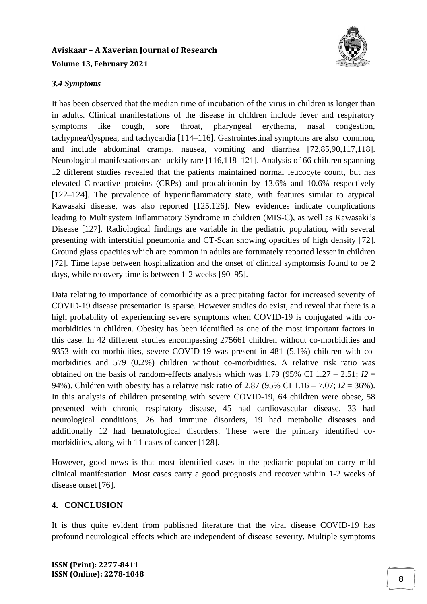

### *3.4 Symptoms*

It has been observed that the median time of incubation of the virus in children is longer than in adults. Clinical manifestations of the disease in children include fever and respiratory symptoms like cough, sore throat, pharyngeal erythema, nasal congestion, tachypnea/dyspnea, and tachycardia [114–116]. Gastrointestinal symptoms are also common, and include abdominal cramps, nausea, vomiting and diarrhea [72,85,90,117,118]. Neurological manifestations are luckily rare [116,118–121]. Analysis of 66 children spanning 12 different studies revealed that the patients maintained normal leucocyte count, but has elevated C-reactive proteins (CRPs) and procalcitonin by 13.6% and 10.6% respectively [122–124]. The prevalence of hyperinflammatory state, with features similar to atypical Kawasaki disease, was also reported [125,126]. New evidences indicate complications leading to Multisystem Inflammatory Syndrome in children (MIS-C), as well as Kawasaki's Disease [127]. Radiological findings are variable in the pediatric population, with several presenting with interstitial pneumonia and CT-Scan showing opacities of high density [72]. Ground glass opacities which are common in adults are fortunately reported lesser in children [72]. Time lapse between hospitalization and the onset of clinical symptomsis found to be 2 days, while recovery time is between 1-2 weeks [90–95].

Data relating to importance of comorbidity as a precipitating factor for increased severity of COVID-19 disease presentation is sparse. However studies do exist, and reveal that there is a high probability of experiencing severe symptoms when COVID-19 is conjugated with comorbidities in children. Obesity has been identified as one of the most important factors in this case. In 42 different studies encompassing 275661 children without co-morbidities and 9353 with co-morbidities, severe COVID-19 was present in 481 (5.1%) children with comorbidities and 579 (0.2%) children without co-morbidities. A relative risk ratio was obtained on the basis of random-effects analysis which was 1.79 (95% CI 1.27 – 2.51;  $I2 =$ 94%). Children with obesity has a relative risk ratio of 2.87 (95% CI 1.16 – 7.07; *I2* = 36%). In this analysis of children presenting with severe COVID-19, 64 children were obese, 58 presented with chronic respiratory disease, 45 had cardiovascular disease, 33 had neurological conditions, 26 had immune disorders, 19 had metabolic diseases and additionally 12 had hematological disorders. These were the primary identified comorbidities, along with 11 cases of cancer [128].

However, good news is that most identified cases in the pediatric population carry mild clinical manifestation. Most cases carry a good prognosis and recover within 1-2 weeks of disease onset [76].

## **4. CONCLUSION**

It is thus quite evident from published literature that the viral disease COVID-19 has profound neurological effects which are independent of disease severity. Multiple symptoms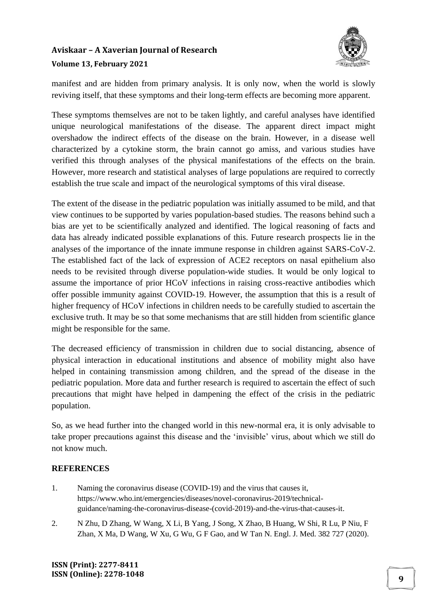

manifest and are hidden from primary analysis. It is only now, when the world is slowly reviving itself, that these symptoms and their long-term effects are becoming more apparent.

These symptoms themselves are not to be taken lightly, and careful analyses have identified unique neurological manifestations of the disease. The apparent direct impact might overshadow the indirect effects of the disease on the brain. However, in a disease well characterized by a cytokine storm, the brain cannot go amiss, and various studies have verified this through analyses of the physical manifestations of the effects on the brain. However, more research and statistical analyses of large populations are required to correctly establish the true scale and impact of the neurological symptoms of this viral disease.

The extent of the disease in the pediatric population was initially assumed to be mild, and that view continues to be supported by varies population-based studies. The reasons behind such a bias are yet to be scientifically analyzed and identified. The logical reasoning of facts and data has already indicated possible explanations of this. Future research prospects lie in the analyses of the importance of the innate immune response in children against SARS-CoV-2. The established fact of the lack of expression of ACE2 receptors on nasal epithelium also needs to be revisited through diverse population-wide studies. It would be only logical to assume the importance of prior HCoV infections in raising cross-reactive antibodies which offer possible immunity against COVID-19. However, the assumption that this is a result of higher frequency of HCoV infections in children needs to be carefully studied to ascertain the exclusive truth. It may be so that some mechanisms that are still hidden from scientific glance might be responsible for the same.

The decreased efficiency of transmission in children due to social distancing, absence of physical interaction in educational institutions and absence of mobility might also have helped in containing transmission among children, and the spread of the disease in the pediatric population. More data and further research is required to ascertain the effect of such precautions that might have helped in dampening the effect of the crisis in the pediatric population.

So, as we head further into the changed world in this new-normal era, it is only advisable to take proper precautions against this disease and the 'invisible' virus, about which we still do not know much.

# **REFERENCES**

- 1. Naming the coronavirus disease (COVID-19) and the virus that causes it, https://www.who.int/emergencies/diseases/novel-coronavirus-2019/technicalguidance/naming-the-coronavirus-disease-(covid-2019)-and-the-virus-that-causes-it.
- 2. N Zhu, D Zhang, W Wang, X Li, B Yang, J Song, X Zhao, B Huang, W Shi, R Lu, P Niu, F Zhan, X Ma, D Wang, W Xu, G Wu, G F Gao, and W Tan N. Engl. J. Med. 382 727 (2020).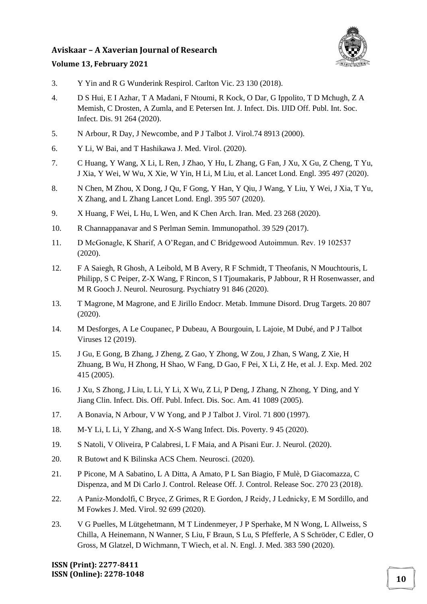

### **Volume 13, February 2021**

- 3. Y Yin and R G Wunderink Respirol. Carlton Vic. 23 130 (2018).
- 4. D S Hui, E I Azhar, T A Madani, F Ntoumi, R Kock, O Dar, G Ippolito, T D Mchugh, Z A Memish, C Drosten, A Zumla, and E Petersen Int. J. Infect. Dis. IJID Off. Publ. Int. Soc. Infect. Dis. 91 264 (2020).
- 5. N Arbour, R Day, J Newcombe, and P J Talbot J. Virol.74 8913 (2000).
- 6. Y Li, W Bai, and T Hashikawa J. Med. Virol. (2020).
- 7. C Huang, Y Wang, X Li, L Ren, J Zhao, Y Hu, L Zhang, G Fan, J Xu, X Gu, Z Cheng, T Yu, J Xia, Y Wei, W Wu, X Xie, W Yin, H Li, M Liu, et al. Lancet Lond. Engl. 395 497 (2020).
- 8. N Chen, M Zhou, X Dong, J Qu, F Gong, Y Han, Y Qiu, J Wang, Y Liu, Y Wei, J Xia, T Yu, X Zhang, and L Zhang Lancet Lond. Engl. 395 507 (2020).
- 9. X Huang, F Wei, L Hu, L Wen, and K Chen Arch. Iran. Med. 23 268 (2020).
- 10. R Channappanavar and S Perlman Semin. Immunopathol. 39 529 (2017).
- 11. D McGonagle, K Sharif, A O'Regan, and C Bridgewood Autoimmun. Rev. 19 102537 (2020).
- 12. F A Saiegh, R Ghosh, A Leibold, M B Avery, R F Schmidt, T Theofanis, N Mouchtouris, L Philipp, S C Peiper, Z-X Wang, F Rincon, S I Tjoumakaris, P Jabbour, R H Rosenwasser, and M R Gooch J. Neurol. Neurosurg. Psychiatry 91 846 (2020).
- 13. T Magrone, M Magrone, and E Jirillo Endocr. Metab. Immune Disord. Drug Targets. 20 807 (2020).
- 14. M Desforges, A Le Coupanec, P Dubeau, A Bourgouin, L Lajoie, M Dubé, and P J Talbot Viruses 12 (2019).
- 15. J Gu, E Gong, B Zhang, J Zheng, Z Gao, Y Zhong, W Zou, J Zhan, S Wang, Z Xie, H Zhuang, B Wu, H Zhong, H Shao, W Fang, D Gao, F Pei, X Li, Z He, et al. J. Exp. Med. 202 415 (2005).
- 16. J Xu, S Zhong, J Liu, L Li, Y Li, X Wu, Z Li, P Deng, J Zhang, N Zhong, Y Ding, and Y Jiang Clin. Infect. Dis. Off. Publ. Infect. Dis. Soc. Am. 41 1089 (2005).
- 17. A Bonavia, N Arbour, V W Yong, and P J Talbot J. Virol. 71 800 (1997).
- 18. M-Y Li, L Li, Y Zhang, and X-S Wang Infect. Dis. Poverty. 9 45 (2020).
- 19. S Natoli, V Oliveira, P Calabresi, L F Maia, and A Pisani Eur. J. Neurol. (2020).
- 20. R Butowt and K Bilinska ACS Chem. Neurosci. (2020).
- 21. P Picone, M A Sabatino, L A Ditta, A Amato, P L San Biagio, F Mulè, D Giacomazza, C Dispenza, and M Di Carlo J. Control. Release Off. J. Control. Release Soc. 270 23 (2018).
- 22. A Paniz‐Mondolfi, C Bryce, Z Grimes, R E Gordon, J Reidy, J Lednicky, E M Sordillo, and M Fowkes J. Med. Virol. 92 699 (2020).
- 23. V G Puelles, M Lütgehetmann, M T Lindenmeyer, J P Sperhake, M N Wong, L Allweiss, S Chilla, A Heinemann, N Wanner, S Liu, F Braun, S Lu, S Pfefferle, A S Schröder, C Edler, O Gross, M Glatzel, D Wichmann, T Wiech, et al. N. Engl. J. Med. 383 590 (2020).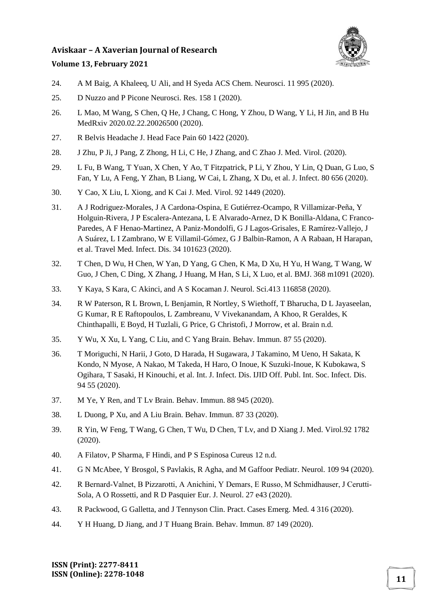

#### **Volume 13, February 2021**

- 24. A M Baig, A Khaleeq, U Ali, and H Syeda ACS Chem. Neurosci. 11 995 (2020).
- 25. D Nuzzo and P Picone Neurosci. Res. 158 1 (2020).
- 26. L Mao, M Wang, S Chen, Q He, J Chang, C Hong, Y Zhou, D Wang, Y Li, H Jin, and B Hu MedRxiv 2020.02.22.20026500 (2020).
- 27. R Belvis Headache J. Head Face Pain 60 1422 (2020).
- 28. J Zhu, P Ji, J Pang, Z Zhong, H Li, C He, J Zhang, and C Zhao J. Med. Virol. (2020).
- 29. L Fu, B Wang, T Yuan, X Chen, Y Ao, T Fitzpatrick, P Li, Y Zhou, Y Lin, Q Duan, G Luo, S Fan, Y Lu, A Feng, Y Zhan, B Liang, W Cai, L Zhang, X Du, et al. J. Infect. 80 656 (2020).
- 30. Y Cao, X Liu, L Xiong, and K Cai J. Med. Virol. 92 1449 (2020).
- 31. A J Rodriguez-Morales, J A Cardona-Ospina, E Gutiérrez-Ocampo, R Villamizar-Peña, Y Holguin-Rivera, J P Escalera-Antezana, L E Alvarado-Arnez, D K Bonilla-Aldana, C Franco-Paredes, A F Henao-Martinez, A Paniz-Mondolfi, G J Lagos-Grisales, E Ramírez-Vallejo, J A Suárez, L I Zambrano, W E Villamil-Gómez, G J Balbin-Ramon, A A Rabaan, H Harapan, et al. Travel Med. Infect. Dis. 34 101623 (2020).
- 32. T Chen, D Wu, H Chen, W Yan, D Yang, G Chen, K Ma, D Xu, H Yu, H Wang, T Wang, W Guo, J Chen, C Ding, X Zhang, J Huang, M Han, S Li, X Luo, et al. BMJ. 368 m1091 (2020).
- 33. Y Kaya, S Kara, C Akinci, and A S Kocaman J. Neurol. Sci.413 116858 (2020).
- 34. R W Paterson, R L Brown, L Benjamin, R Nortley, S Wiethoff, T Bharucha, D L Jayaseelan, G Kumar, R E Raftopoulos, L Zambreanu, V Vivekanandam, A Khoo, R Geraldes, K Chinthapalli, E Boyd, H Tuzlali, G Price, G Christofi, J Morrow, et al. Brain n.d.
- 35. Y Wu, X Xu, L Yang, C Liu, and C Yang Brain. Behav. Immun. 87 55 (2020).
- 36. T Moriguchi, N Harii, J Goto, D Harada, H Sugawara, J Takamino, M Ueno, H Sakata, K Kondo, N Myose, A Nakao, M Takeda, H Haro, O Inoue, K Suzuki-Inoue, K Kubokawa, S Ogihara, T Sasaki, H Kinouchi, et al. Int. J. Infect. Dis. IJID Off. Publ. Int. Soc. Infect. Dis. 94 55 (2020).
- 37. M Ye, Y Ren, and T Lv Brain. Behav. Immun. 88 945 (2020).
- 38. L Duong, P Xu, and A Liu Brain. Behav. Immun. 87 33 (2020).
- 39. R Yin, W Feng, T Wang, G Chen, T Wu, D Chen, T Lv, and D Xiang J. Med. Virol.92 1782 (2020).
- 40. A Filatov, P Sharma, F Hindi, and P S Espinosa Cureus 12 n.d.
- 41. G N McAbee, Y Brosgol, S Pavlakis, R Agha, and M Gaffoor Pediatr. Neurol. 109 94 (2020).
- 42. R Bernard‐Valnet, B Pizzarotti, A Anichini, Y Demars, E Russo, M Schmidhauser, J Cerutti‐ Sola, A O Rossetti, and R D Pasquier Eur. J. Neurol. 27 e43 (2020).
- 43. R Packwood, G Galletta, and J Tennyson Clin. Pract. Cases Emerg. Med. 4 316 (2020).
- 44. Y H Huang, D Jiang, and J T Huang Brain. Behav. Immun. 87 149 (2020).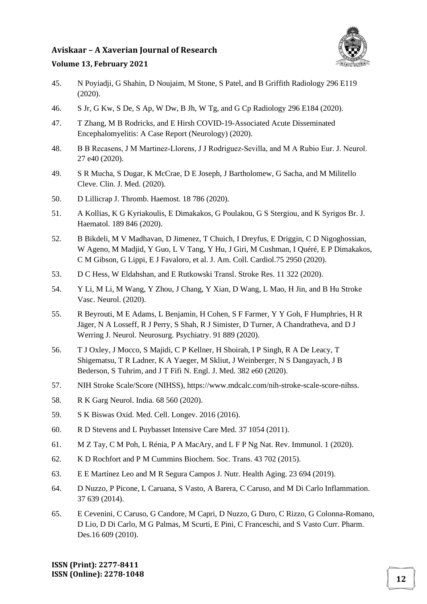

#### **Volume 13, February 2021**

- 45. N Poyiadji, G Shahin, D Noujaim, M Stone, S Patel, and B Griffith Radiology 296 E119 (2020).
- 46. S Jr, G Kw, S De, S Ap, W Dw, B Jh, W Tg, and G Cp Radiology 296 E184 (2020).
- 47. T Zhang, M B Rodricks, and E Hirsh COVID-19-Associated Acute Disseminated Encephalomyelitis: A Case Report (Neurology) (2020).
- 48. B B Recasens, J M Martinez‐Llorens, J J Rodriguez‐Sevilla, and M A Rubio Eur. J. Neurol. 27 e40 (2020).
- 49. S R Mucha, S Dugar, K McCrae, D E Joseph, J Bartholomew, G Sacha, and M Militello Cleve. Clin. J. Med. (2020).
- 50. D Lillicrap J. Thromb. Haemost. 18 786 (2020).
- 51. A Kollias, K G Kyriakoulis, E Dimakakos, G Poulakou, G S Stergiou, and K Syrigos Br. J. Haematol. 189 846 (2020).
- 52. B Bikdeli, M V Madhavan, D Jimenez, T Chuich, I Dreyfus, E Driggin, C D Nigoghossian, W Ageno, M Madjid, Y Guo, L V Tang, Y Hu, J Giri, M Cushman, I Quéré, E P Dimakakos, C M Gibson, G Lippi, E J Favaloro, et al. J. Am. Coll. Cardiol.75 2950 (2020).
- 53. D C Hess, W Eldahshan, and E Rutkowski Transl. Stroke Res. 11 322 (2020).
- 54. Y Li, M Li, M Wang, Y Zhou, J Chang, Y Xian, D Wang, L Mao, H Jin, and B Hu Stroke Vasc. Neurol. (2020).
- 55. R Beyrouti, M E Adams, L Benjamin, H Cohen, S F Farmer, Y Y Goh, F Humphries, H R Jäger, N A Losseff, R J Perry, S Shah, R J Simister, D Turner, A Chandratheva, and D J Werring J. Neurol. Neurosurg. Psychiatry. 91 889 (2020).
- 56. T J Oxley, J Mocco, S Majidi, C P Kellner, H Shoirah, I P Singh, R A De Leacy, T Shigematsu, T R Ladner, K A Yaeger, M Skliut, J Weinberger, N S Dangayach, J B Bederson, S Tuhrim, and J T Fifi N. Engl. J. Med. 382 e60 (2020).
- 57. NIH Stroke Scale/Score (NIHSS), https://www.mdcalc.com/nih-stroke-scale-score-nihss.
- 58. R K Garg Neurol. India. 68 560 (2020).
- 59. S K Biswas Oxid. Med. Cell. Longev. 2016 (2016).
- 60. R D Stevens and L Puybasset Intensive Care Med. 37 1054 (2011).
- 61. M Z Tay, C M Poh, L Rénia, P A MacAry, and L F P Ng Nat. Rev. Immunol. 1 (2020).
- 62. K D Rochfort and P M Cummins Biochem. Soc. Trans. 43 702 (2015).
- 63. E E Martínez Leo and M R Segura Campos J. Nutr. Health Aging. 23 694 (2019).
- 64. D Nuzzo, P Picone, L Caruana, S Vasto, A Barera, C Caruso, and M Di Carlo Inflammation. 37 639 (2014).
- 65. E Cevenini, C Caruso, G Candore, M Capri, D Nuzzo, G Duro, C Rizzo, G Colonna-Romano, D Lio, D Di Carlo, M G Palmas, M Scurti, E Pini, C Franceschi, and S Vasto Curr. Pharm. Des.16 609 (2010).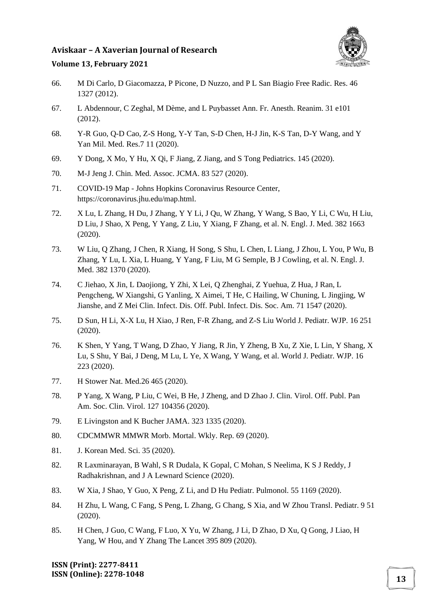

#### **Volume 13, February 2021**

- 66. M Di Carlo, D Giacomazza, P Picone, D Nuzzo, and P L San Biagio Free Radic. Res. 46 1327 (2012).
- 67. L Abdennour, C Zeghal, M Dème, and L Puybasset Ann. Fr. Anesth. Reanim. 31 e101 (2012).
- 68. Y-R Guo, Q-D Cao, Z-S Hong, Y-Y Tan, S-D Chen, H-J Jin, K-S Tan, D-Y Wang, and Y Yan Mil. Med. Res.7 11 (2020).
- 69. Y Dong, X Mo, Y Hu, X Qi, F Jiang, Z Jiang, and S Tong Pediatrics. 145 (2020).
- 70. M-J Jeng J. Chin. Med. Assoc. JCMA. 83 527 (2020).
- 71. COVID-19 Map Johns Hopkins Coronavirus Resource Center, https://coronavirus.jhu.edu/map.html.
- 72. X Lu, L Zhang, H Du, J Zhang, Y Y Li, J Qu, W Zhang, Y Wang, S Bao, Y Li, C Wu, H Liu, D Liu, J Shao, X Peng, Y Yang, Z Liu, Y Xiang, F Zhang, et al. N. Engl. J. Med. 382 1663 (2020).
- 73. W Liu, Q Zhang, J Chen, R Xiang, H Song, S Shu, L Chen, L Liang, J Zhou, L You, P Wu, B Zhang, Y Lu, L Xia, L Huang, Y Yang, F Liu, M G Semple, B J Cowling, et al. N. Engl. J. Med. 382 1370 (2020).
- 74. C Jiehao, X Jin, L Daojiong, Y Zhi, X Lei, Q Zhenghai, Z Yuehua, Z Hua, J Ran, L Pengcheng, W Xiangshi, G Yanling, X Aimei, T He, C Hailing, W Chuning, L Jingjing, W Jianshe, and Z Mei Clin. Infect. Dis. Off. Publ. Infect. Dis. Soc. Am. 71 1547 (2020).
- 75. D Sun, H Li, X-X Lu, H Xiao, J Ren, F-R Zhang, and Z-S Liu World J. Pediatr. WJP. 16 251 (2020).
- 76. K Shen, Y Yang, T Wang, D Zhao, Y Jiang, R Jin, Y Zheng, B Xu, Z Xie, L Lin, Y Shang, X Lu, S Shu, Y Bai, J Deng, M Lu, L Ye, X Wang, Y Wang, et al. World J. Pediatr. WJP. 16 223 (2020).
- 77. H Stower Nat. Med.26 465 (2020).
- 78. P Yang, X Wang, P Liu, C Wei, B He, J Zheng, and D Zhao J. Clin. Virol. Off. Publ. Pan Am. Soc. Clin. Virol. 127 104356 (2020).
- 79. E Livingston and K Bucher JAMA. 323 1335 (2020).
- 80. CDCMMWR MMWR Morb. Mortal. Wkly. Rep. 69 (2020).
- 81. J. Korean Med. Sci. 35 (2020).
- 82. R Laxminarayan, B Wahl, S R Dudala, K Gopal, C Mohan, S Neelima, K S J Reddy, J Radhakrishnan, and J A Lewnard Science (2020).
- 83. W Xia, J Shao, Y Guo, X Peng, Z Li, and D Hu Pediatr. Pulmonol. 55 1169 (2020).
- 84. H Zhu, L Wang, C Fang, S Peng, L Zhang, G Chang, S Xia, and W Zhou Transl. Pediatr. 9 51 (2020).
- 85. H Chen, J Guo, C Wang, F Luo, X Yu, W Zhang, J Li, D Zhao, D Xu, Q Gong, J Liao, H Yang, W Hou, and Y Zhang The Lancet 395 809 (2020).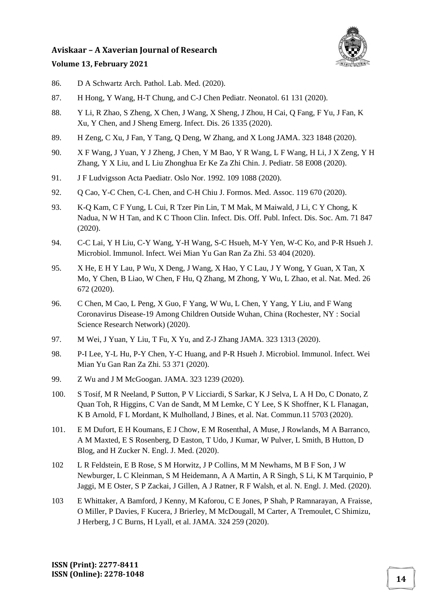

# **Volume 13, February 2021**

- 86. D A Schwartz Arch. Pathol. Lab. Med. (2020).
- 87. H Hong, Y Wang, H-T Chung, and C-J Chen Pediatr. Neonatol. 61 131 (2020).
- 88. Y Li, R Zhao, S Zheng, X Chen, J Wang, X Sheng, J Zhou, H Cai, Q Fang, F Yu, J Fan, K Xu, Y Chen, and J Sheng Emerg. Infect. Dis. 26 1335 (2020).
- 89. H Zeng, C Xu, J Fan, Y Tang, Q Deng, W Zhang, and X Long JAMA. 323 1848 (2020).
- 90. X F Wang, J Yuan, Y J Zheng, J Chen, Y M Bao, Y R Wang, L F Wang, H Li, J X Zeng, Y H Zhang, Y X Liu, and L Liu Zhonghua Er Ke Za Zhi Chin. J. Pediatr. 58 E008 (2020).
- 91. J F Ludvigsson Acta Paediatr. Oslo Nor. 1992. 109 1088 (2020).
- 92. Q Cao, Y-C Chen, C-L Chen, and C-H Chiu J. Formos. Med. Assoc. 119 670 (2020).
- 93. K-Q Kam, C F Yung, L Cui, R Tzer Pin Lin, T M Mak, M Maiwald, J Li, C Y Chong, K Nadua, N W H Tan, and K C Thoon Clin. Infect. Dis. Off. Publ. Infect. Dis. Soc. Am. 71 847 (2020).
- 94. C-C Lai, Y H Liu, C-Y Wang, Y-H Wang, S-C Hsueh, M-Y Yen, W-C Ko, and P-R Hsueh J. Microbiol. Immunol. Infect. Wei Mian Yu Gan Ran Za Zhi. 53 404 (2020).
- 95. X He, E H Y Lau, P Wu, X Deng, J Wang, X Hao, Y C Lau, J Y Wong, Y Guan, X Tan, X Mo, Y Chen, B Liao, W Chen, F Hu, Q Zhang, M Zhong, Y Wu, L Zhao, et al. Nat. Med. 26 672 (2020).
- 96. C Chen, M Cao, L Peng, X Guo, F Yang, W Wu, L Chen, Y Yang, Y Liu, and F Wang Coronavirus Disease-19 Among Children Outside Wuhan, China (Rochester, NY : Social Science Research Network) (2020).
- 97. M Wei, J Yuan, Y Liu, T Fu, X Yu, and Z-J Zhang JAMA. 323 1313 (2020).
- 98. P-I Lee, Y-L Hu, P-Y Chen, Y-C Huang, and P-R Hsueh J. Microbiol. Immunol. Infect. Wei Mian Yu Gan Ran Za Zhi. 53 371 (2020).
- 99. Z Wu and J M McGoogan. JAMA. 323 1239 (2020).
- 100. S Tosif, M R Neeland, P Sutton, P V Licciardi, S Sarkar, K J Selva, L A H Do, C Donato, Z Quan Toh, R Higgins, C Van de Sandt, M M Lemke, C Y Lee, S K Shoffner, K L Flanagan, K B Arnold, F L Mordant, K Mulholland, J Bines, et al. Nat. Commun.11 5703 (2020).
- 101. E M Dufort, E H Koumans, E J Chow, E M Rosenthal, A Muse, J Rowlands, M A Barranco, A M Maxted, E S Rosenberg, D Easton, T Udo, J Kumar, W Pulver, L Smith, B Hutton, D Blog, and H Zucker N. Engl. J. Med. (2020).
- 102 L R Feldstein, E B Rose, S M Horwitz, J P Collins, M M Newhams, M B F Son, J W Newburger, L C Kleinman, S M Heidemann, A A Martin, A R Singh, S Li, K M Tarquinio, P Jaggi, M E Oster, S P Zackai, J Gillen, A J Ratner, R F Walsh, et al. N. Engl. J. Med. (2020).
- 103 E Whittaker, A Bamford, J Kenny, M Kaforou, C E Jones, P Shah, P Ramnarayan, A Fraisse, O Miller, P Davies, F Kucera, J Brierley, M McDougall, M Carter, A Tremoulet, C Shimizu, J Herberg, J C Burns, H Lyall, et al. JAMA. 324 259 (2020).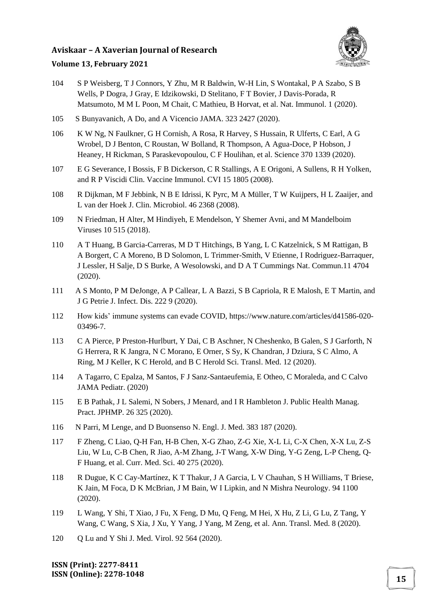

#### **Volume 13, February 2021**

- 104 S P Weisberg, T J Connors, Y Zhu, M R Baldwin, W-H Lin, S Wontakal, P A Szabo, S B Wells, P Dogra, J Gray, E Idzikowski, D Stelitano, F T Bovier, J Davis-Porada, R Matsumoto, M M L Poon, M Chait, C Mathieu, B Horvat, et al. Nat. Immunol. 1 (2020).
- 105 S Bunyavanich, A Do, and A Vicencio JAMA. 323 2427 (2020).
- 106 K W Ng, N Faulkner, G H Cornish, A Rosa, R Harvey, S Hussain, R Ulferts, C Earl, A G Wrobel, D J Benton, C Roustan, W Bolland, R Thompson, A Agua-Doce, P Hobson, J Heaney, H Rickman, S Paraskevopoulou, C F Houlihan, et al. Science 370 1339 (2020).
- 107 E G Severance, I Bossis, F B Dickerson, C R Stallings, A E Origoni, A Sullens, R H Yolken, and R P Viscidi Clin. Vaccine Immunol. CVI 15 1805 (2008).
- 108 R Dijkman, M F Jebbink, N B E Idrissi, K Pyrc, M A Müller, T W Kuijpers, H L Zaaijer, and L van der Hoek J. Clin. Microbiol. 46 2368 (2008).
- 109 N Friedman, H Alter, M Hindiyeh, E Mendelson, Y Shemer Avni, and M Mandelboim Viruses 10 515 (2018).
- 110 A T Huang, B Garcia-Carreras, M D T Hitchings, B Yang, L C Katzelnick, S M Rattigan, B A Borgert, C A Moreno, B D Solomon, L Trimmer-Smith, V Etienne, I Rodriguez-Barraquer, J Lessler, H Salje, D S Burke, A Wesolowski, and D A T Cummings Nat. Commun.11 4704 (2020).
- 111 A S Monto, P M DeJonge, A P Callear, L A Bazzi, S B Capriola, R E Malosh, E T Martin, and J G Petrie J. Infect. Dis. 222 9 (2020).
- 112 How kids' immune systems can evade COVID, https://www.nature.com/articles/d41586-020- 03496-7.
- 113 C A Pierce, P Preston-Hurlburt, Y Dai, C B Aschner, N Cheshenko, B Galen, S J Garforth, N G Herrera, R K Jangra, N C Morano, E Orner, S Sy, K Chandran, J Dziura, S C Almo, A Ring, M J Keller, K C Herold, and B C Herold Sci. Transl. Med. 12 (2020).
- 114 A Tagarro, C Epalza, M Santos, F J Sanz-Santaeufemia, E Otheo, C Moraleda, and C Calvo JAMA Pediatr. (2020)
- 115 E B Pathak, J L Salemi, N Sobers, J Menard, and I R Hambleton J. Public Health Manag. Pract. JPHMP. 26 325 (2020).
- 116 N Parri, M Lenge, and D Buonsenso N. Engl. J. Med. 383 187 (2020).
- 117 F Zheng, C Liao, Q-H Fan, H-B Chen, X-G Zhao, Z-G Xie, X-L Li, C-X Chen, X-X Lu, Z-S Liu, W Lu, C-B Chen, R Jiao, A-M Zhang, J-T Wang, X-W Ding, Y-G Zeng, L-P Cheng, Q-F Huang, et al. Curr. Med. Sci. 40 275 (2020).
- 118 R Dugue, K C Cay-Martínez, K T Thakur, J A Garcia, L V Chauhan, S H Williams, T Briese, K Jain, M Foca, D K McBrian, J M Bain, W I Lipkin, and N Mishra Neurology. 94 1100 (2020).
- 119 L Wang, Y Shi, T Xiao, J Fu, X Feng, D Mu, Q Feng, M Hei, X Hu, Z Li, G Lu, Z Tang, Y Wang, C Wang, S Xia, J Xu, Y Yang, J Yang, M Zeng, et al. Ann. Transl. Med. 8 (2020).
- 120 Q Lu and Y Shi J. Med. Virol. 92 564 (2020).